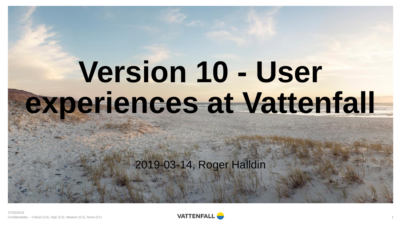# **Version 10 - User experiences at Vattenfall**

2019-03-14, Roger Halldin

27/03/2019 Confidentiality – Critical (C4), High (C3), Medium (C2), None (C1) 1

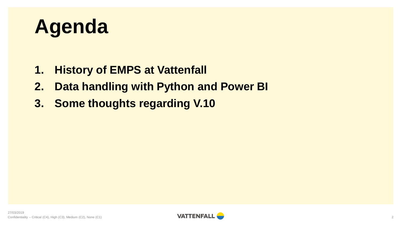

- **1. History of EMPS at Vattenfall**
- **2. Data handling with Python and Power BI**
- **3. Some thoughts regarding V.10**

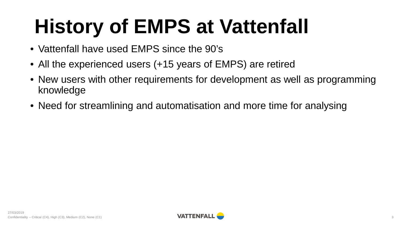## **History of EMPS at Vattenfall**

- Vattenfall have used EMPS since the 90's
- All the experienced users (+15 years of EMPS) are retired
- New users with other requirements for development as well as programming knowledge
- Need for streamlining and automatisation and more time for analysing

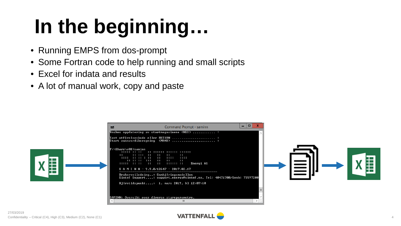## **In the beginning…**

- Running EMPS from dos-prompt
- Some Fortran code to help running and small scripts
- Excel for indata and results
- A lot of manual work, copy and paste



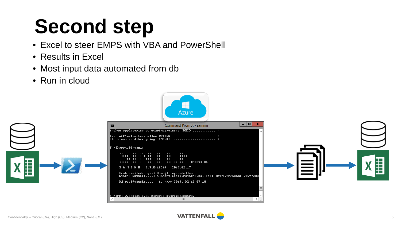## **Second step**

- Excel to steer EMPS with VBA and PowerShell
- Results in Excel
- Most input data automated from db
- Run in cloud



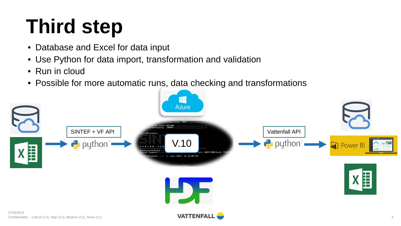## **Third step**

- Database and Excel for data input
- Use Python for data import, transformation and validation
- Run in cloud
- Possible for more automatic runs, data checking and transformations

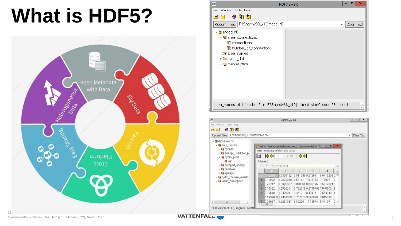## **What is HDF5?**



| EF          | ×<br>o<br><b>HDFView 3.0</b>                                                                                                                                       |
|-------------|--------------------------------------------------------------------------------------------------------------------------------------------------------------------|
| <b>File</b> | Window Tools<br>Help                                                                                                                                               |
|             | $\mathbb{B}$ minimum $\bullet$ minimum $\bullet$                                                                                                                   |
|             | Recent Files   F:\Share\v38_v10\model.h5<br>Clear Text<br>v                                                                                                        |
|             | ⊿ <mark>isi</mark> model.h5<br>▲ area_connections<br>■ connections<br>   number_of_connection<br><b>iii</b> area names<br>› ല hydro_data<br>> <b>□</b> market_data |
|             | area_names_at_/ [model.h5_in_F:\Share\v38_v10] [dims0, start0, count53, stride1]                                                                                   |

| <b>ISE</b>                                               | HDFView 3.0                                                        | $\Box$<br>×  |
|----------------------------------------------------------|--------------------------------------------------------------------|--------------|
| File:<br>Window Tools Help                               |                                                                    |              |
| $-205$<br>ട്റ്                                           |                                                                    |              |
| Recent Files   F1ShareW38_v10\detsimres.h6               |                                                                    | v Clear Text |
| - 5 detsimres.h5                                         |                                                                    |              |
| · area_results                                           | $\Box$<br>wal at /area_results/hydro_prod/ [detsimres.h5 in F1 =   |              |
| <b>C</b> bypass                                          | Import/Export Data Data Display<br>Table                           |              |
| Contently_used_for_p<br>- Nydro_prod                     | $\bullet$ $\bullet$ $\circ$<br>$\Rightarrow$<br>m<br>7149          |              |
| <b>Inval</b>                                             | 0-based                                                            |              |
| Capumped_energy                                          | $00 =$<br>0.12366864<br>in.<br>$\overline{a}$                      |              |
| <b>Ca</b> reservoir                                      | 2<br>3<br>Δ<br>$\Box$                                              |              |
| > Ca spillage                                            | 1.0825182 13.811245 9.272611<br>6.04132030<br><b>GOICERTA</b>      |              |
| > Ca hydro_module_results<br>Caresult_description        | 0.11392 1.9272989 13.58111 7.818754<br>7.18037<br>$\Omega$         |              |
|                                                          | 1.0925667 13.848551 8.892175<br>0.49747<br>750143240<br>2          |              |
|                                                          | 0.15322 1.252624 13.772715.9.2745495 7.545603<br>8                 |              |
|                                                          | 0.10518<br>1 347694 13 4517 8 49471<br>7564943<br>и                |              |
|                                                          | 0.0939603 1.4400839 13.767516 9.290678<br>5.815598<br>5<br>$\circ$ |              |
| $\rightarrow$<br>$\left\langle \cdot \right\rangle$<br>m | 0.06977  1.526193313.89226 17.12544 5.84107<br>6<br>$\circ$<br>Ł   |              |
| HDFView root - C:\Program Files\H                        |                                                                    | $\hat{c}$    |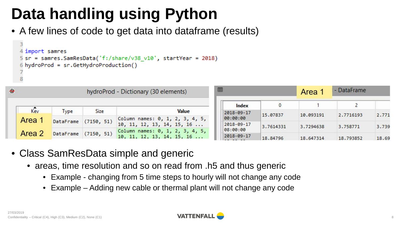• A few lines of code to get data into dataframe (results)

```
4 import samres
5 sr = samres.SamResData('f:/share/v38_v10', startYear = 2018)
6 hydroProd = sr.GetHydroProduction()
```

| $\ddot{\infty}$ |        | hydroProd - Dictionary (30 elements) |             |                                 | 囲 |            |           | Area      | <b>DataFrame</b> |       |
|-----------------|--------|--------------------------------------|-------------|---------------------------------|---|------------|-----------|-----------|------------------|-------|
|                 |        |                                      |             |                                 |   | Index      |           |           |                  |       |
|                 | Kev    | Type                                 | <b>Size</b> | Value                           |   | 2018-09-17 | 15,07837  | 10.093191 | 2.7716193        | 2.771 |
|                 | Area 1 | DataFrame                            | (7150, 51)  | Column names: 0, 1, 2, 3, 4, 5, |   | 00:00:00   |           |           |                  |       |
|                 |        |                                      |             | 10, 11, 12, 13, 14, 15, 16      |   | 2018-09-17 | 3.7614331 | 3.7294638 | 3.758771         | 3.739 |
|                 | Area 2 |                                      |             | Column names: 0, 1, 2, 3, 4, 5, |   | 08:00:00   |           |           |                  |       |
|                 |        | <b>DataFrame</b>                     | (7150, 51)  | 10, 11, 12, 13, 14, 15, 16      |   | 2018-09-17 | 18.84796  | 18.647314 | 18.793852        | 18.69 |

- Class SamResData simple and generic
	- areas, time resolution and so on read from .h5 and thus generic
		- Example changing from 5 time steps to hourly will not change any code
		- Example Adding new cable or thermal plant will not change any code

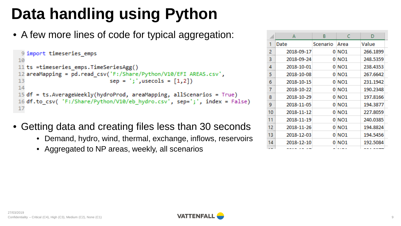• A few more lines of code for typical aggregation:

```
9 import timeseries emps
10
11 ts =timeseries emps.TimeSeriesAgg()
12 areaMapping = pd.read csv('F:/Share/Python/V10/EFI AREAS.csv',
13
                             sep = ';', usecols = [1,2])14
15 df = ts. AverageWeekly(hydroProd, areaMapping, allScenarios = True)
16 df.to csv( 'F:/Share/Python/V10/eb hydro.csv', sep=';', index = False)
17
```
- Getting data and creating files less than 30 seconds
	- Demand, hydro, wind, thermal, exchange, inflows, reservoirs
	- Aggregated to NP areas, weekly, all scenarios

|     | A          | B        | c                 | D        |
|-----|------------|----------|-------------------|----------|
| 1   | Date       | Scenario | Area              | Value    |
| 2   | 2018-09-17 |          | 0 NO1             | 266.1899 |
| 3   | 2018-09-24 |          | 0 NO1             | 248.5359 |
| 4   | 2018-10-01 |          | 0 NO1             | 238.4353 |
| 5   | 2018-10-08 |          | 0 NO <sub>1</sub> | 267.6642 |
| 6   | 2018-10-15 |          | 0 NO <sub>1</sub> | 231.1942 |
| 7   | 2018-10-22 |          | 0 NO1             | 190.2348 |
| 8   | 2018-10-29 |          | $0$ NO1           | 197.8166 |
| 9   | 2018-11-05 |          | 0 NO1             | 194.3877 |
| 10  | 2018-11-12 |          | $0$ NO1           | 227.8059 |
| 11  | 2018-11-19 |          | $0$ NO1           | 240.0385 |
| 12  | 2018-11-26 |          | $0$ NO1           | 194.8824 |
| 13  | 2018-12-03 |          | $0$ NO1           | 194.5456 |
| 14  | 2018-12-10 |          | $0$ NO1           | 192.5084 |
| $-$ | -------    |          | <b>ALC: NO</b>    | -------  |

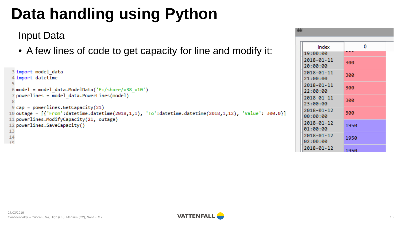#### Input Data

• A few lines of code to get capacity for line and modify it:

```
3 import model data
 4 import datetime
 6 model = model data.ModelData('F:/share/v38 v10')
 7 powerlines = model data.PowerLines(model)
 8
 9 cap = powerlines. GetCapacity (21)
10 outage = [{'From':datetime.datetime(2018,1,1), 'To':datetime.datetime(2018,1,12), 'Value': 300.0}]
11 powerlines.ModifyCapacity(21, outage)
12 powerlines.SaveCapacity()
1314
-15
```

| 睜                      |      |
|------------------------|------|
| Index                  | 0    |
| 19:00:00               |      |
| 2018-01-11<br>20:00:00 | 300  |
| 2018-01-11<br>21:00:00 | 300  |
| 2018-01-11<br>22:00:00 | 300  |
| 2018-01-11<br>23:00:00 | 300  |
| 2018-01-12<br>00:00:00 | 300  |
| 2018-01-12<br>01:00:00 | 1950 |
| 2018-01-12<br>02:00:00 | 1950 |
| 2018-01-12             | 1950 |

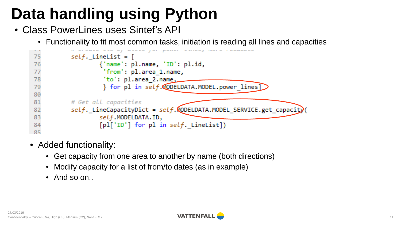- Class PowerLines uses Sintef's API
	- Functionality to fit most common tasks, initiation is reading all lines and capacities



- Added functionality:
	- Get capacity from one area to another by name (both directions)
	- Modify capacity for a list of from/to dates (as in example)
	- And so on...

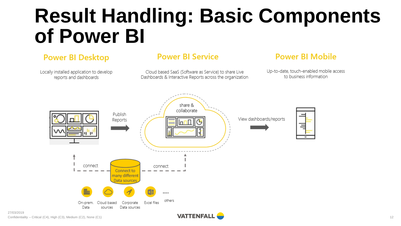## **Result Handling: Basic Components of Power BI**

#### **Power BI Desktop**

Locally installed application to develop reports and dashboards

#### **Power BI Service**

Cloud based SaaS (Software as Service) to share Live Dashboards & Interactive Reports across the organization

#### **Power BI Mobile**

Up-to-date, touch-enabled mobile access to business information

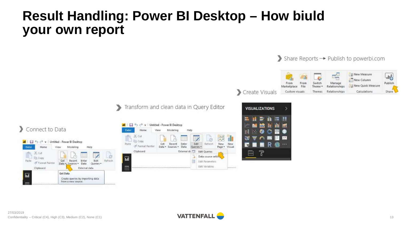#### **Result Handling: Power BI Desktop – How biuld your own report**



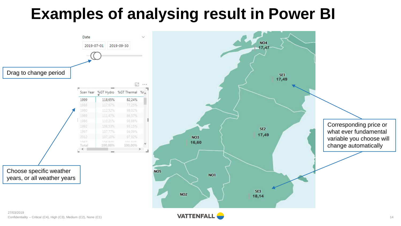#### **Examples of analysing result in Power BI**



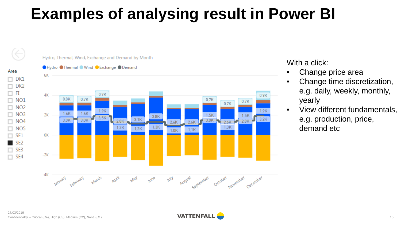### **Examples of analysing result in Power BI**





With a click:

- Change price area
- Change time discretization, e.g. daily, weekly, monthly, yearly
- View different fundamentals, e.g. production, price, demand etc